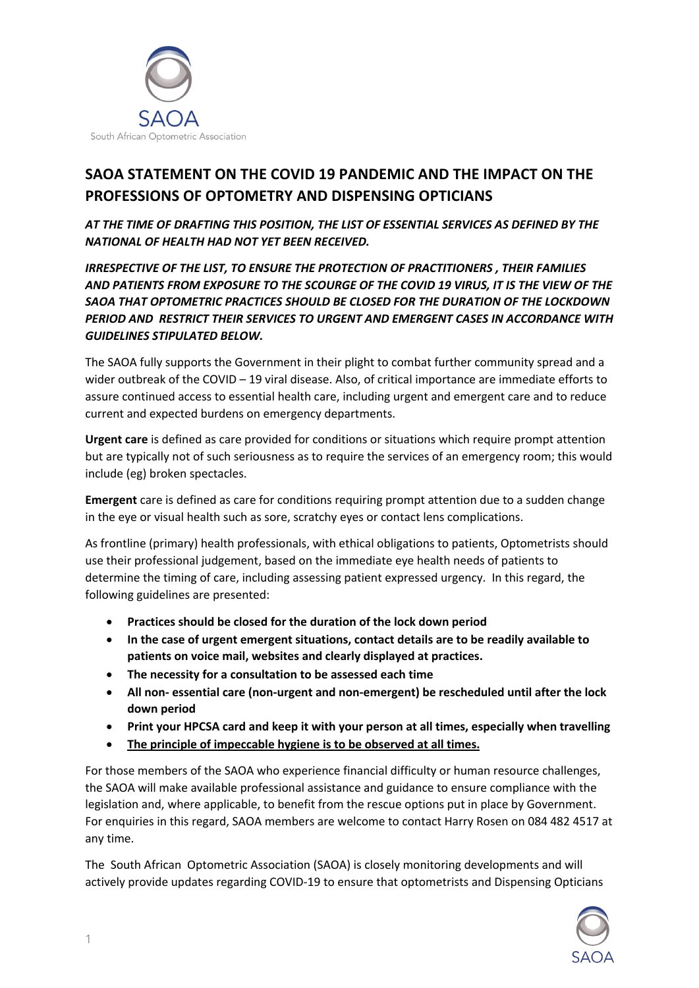

## **SAOA STATEMENT ON THE COVID 19 PANDEMIC AND THE IMPACT ON THE PROFESSIONS OF OPTOMETRY AND DISPENSING OPTICIANS**

*AT THE TIME OF DRAFTING THIS POSITION, THE LIST OF ESSENTIAL SERVICES AS DEFINED BY THE NATIONAL OF HEALTH HAD NOT YET BEEN RECEIVED.*

*IRRESPECTIVE OF THE LIST, TO ENSURE THE PROTECTION OF PRACTITIONERS , THEIR FAMILIES AND PATIENTS FROM EXPOSURE TO THE SCOURGE OF THE COVID 19 VIRUS, IT IS THE VIEW OF THE SAOA THAT OPTOMETRIC PRACTICES SHOULD BE CLOSED FOR THE DURATION OF THE LOCKDOWN PERIOD AND RESTRICT THEIR SERVICES TO URGENT AND EMERGENT CASES IN ACCORDANCE WITH GUIDELINES STIPULATED BELOW.*

The SAOA fully supports the Government in their plight to combat further community spread and a wider outbreak of the COVID – 19 viral disease. Also, of critical importance are immediate efforts to assure continued access to essential health care, including urgent and emergent care and to reduce current and expected burdens on emergency departments.

**Urgent care** is defined as care provided for conditions or situations which require prompt attention but are typically not of such seriousness as to require the services of an emergency room; this would include (eg) broken spectacles.

**Emergent** care is defined as care for conditions requiring prompt attention due to a sudden change in the eye or visual health such as sore, scratchy eyes or contact lens complications.

As frontline (primary) health professionals, with ethical obligations to patients, Optometrists should use their professional judgement, based on the immediate eye health needs of patients to determine the timing of care, including assessing patient expressed urgency. In this regard, the following guidelines are presented:

- **Practices should be closed for the duration of the lock down period**
- **In the case of urgent emergent situations, contact details are to be readily available to patients on voice mail, websites and clearly displayed at practices.**
- **The necessity for a consultation to be assessed each time**
- **All non- essential care (non-urgent and non-emergent) be rescheduled until after the lock down period**
- **Print your HPCSA card and keep it with your person at all times, especially when travelling**
- **The principle of impeccable hygiene is to be observed at all times.**

For those members of the SAOA who experience financial difficulty or human resource challenges, the SAOA will make available professional assistance and guidance to ensure compliance with the legislation and, where applicable, to benefit from the rescue options put in place by Government. For enquiries in this regard, SAOA members are welcome to contact Harry Rosen on 084 482 4517 at any time.

The South African Optometric Association (SAOA) is closely monitoring developments and will actively provide updates regarding COVID-19 to ensure that optometrists and Dispensing Opticians